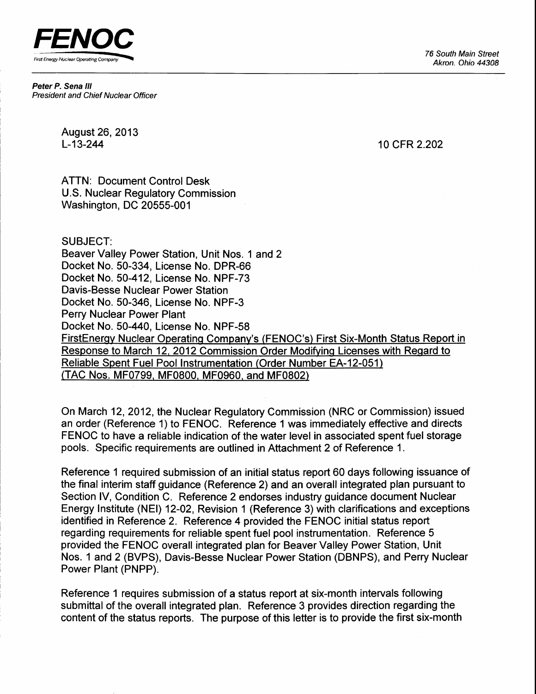**FENOC** First Energy Nuclear Operating Compar

Peter P. Sena lll President and Chief Nuclear Officer

August 26,2013 L-13-244

10 cFR 2.202

ATTN: Document Control Desk U.S. Nuclear Regulatory Commission Washington, DC 20555-001

#### SUBJECT:

Beaver Valley Power Station, Unit Nos. 1 and 2 Docket No. 50-334, License No. DPR-66 Docket No. 50-412, License No. NPF-73 Davis-Besse Nuclear Power Station Docket No. 50-346, License No. NPF-3 Perry Nuclear Power Plant Docket No. 50-440, License No. NPF-58 FirstEnerqy Nuclear Operatinq Companv's (FENOC's) First Six-Month Status Report in Response to March 12, 2012 Commission Order Modifying Licenses with Regard to Reliable Spent Fuel Pool Instrumentation (Order Number EA-12-051) (TAC Nos. MF0799, MF0800, MF0960, and MF0802)

On March 12,2012, the Nuclear Regulatory Commission (NRC or Commission) issued an order (Reference 1) to FENOC. Reference 1was immediately effective and directs FENOC to have a reliable indication of the water level in associated spent fuel storage pools. Specific requirements are outlined in Attachment 2 of Reference 1.

Reference 1 required submission of an initial status report 60 days following issuance of the final interim staff guidance (Reference 2) and an overall integrated plan pursuant to Section IV, Condition C. Reference 2 endorses industry guidance document Nuclear Energy Institute (NEl) 12-02, Revision 1 (Reference 3) with clarifications and exceptions identified in Reference 2. Reference 4 provided the FENOC initial status report regarding requirements for reliable spent fuel pool instrumentation. Reference 5 provided the FENOC overall integrated plan for Beaver Valley Power Station, Unit Nos. 1 and 2 (BVPS), Davis-Besse Nuclear Power Station (DBNPS), and Perry Nuclear Power Plant (PNPP).

Reference 1 requires submission of a status report at six-month intervals following submittal of the overall integrated plan. Reference 3 provides direction regarding the content of the status reports. The purpose of this letter is to provide the first six-month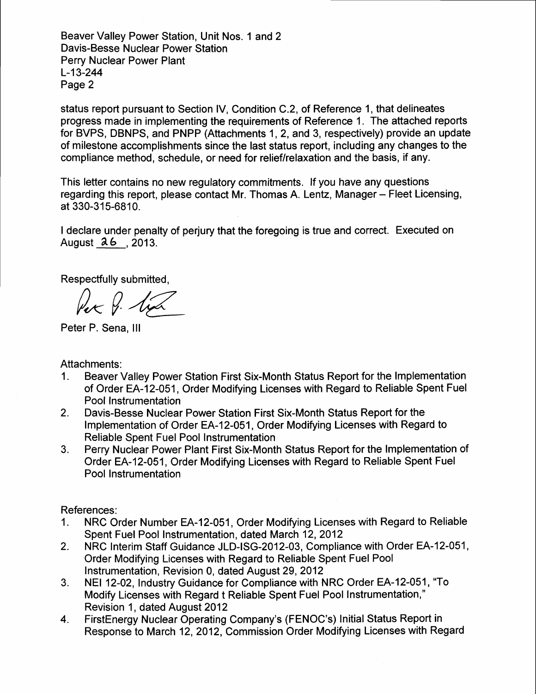Beaver Valley Power Station, Unit Nos. 1 and 2 Davis-Besse Nuclear Power Station Perry Nuclear Power Plant L-13-244 Page 2

status report pursuant to Section lV, Condition C.2, of Reference 1, that delineates progress made in implementing the requirements of Reference 1. The attached reports for BVPS, DBNPS, and PNPP (Attachments 1, 2, and 3, respectively) provide an update of milestone accomplishments since the last status report, including any changes to the compliance method, schedule, or need for relief/relaxation and the basis, if any.

This letter contains no new regulatory commitments. If you have any questions regarding this report, please contact Mr. Thomas A. Lentz, Manager - Fleet Licensing, at 330-315-6810.

I declare under penalty of perjury that the foregoing is true and correct. Executed on August a6 ,2013.

Respectfully submitted,<br> $\mathcal{P}$  -  $\mathcal{P}$ 

Peter P. Sena, lll

Attachments:

- 1. Beaver Valley Power Station First Six-Month Status Report for the lmplementation of Order EA-12-051, Order Modifying Licenses with Regard to Reliable Spent Fuel Pool Instrumentation
- Davis-Besse Nuclear Power Station First Six-Month Status Report for the Implementation of Order EA-12-051, Order Modifying Licenses with Regard to Reliable Spent Fuel Pool Instrumentation 2.
- Perry Nuclear Power Plant First Six-Month Status Report for the lmplementation of Order EA-12-051, Order Modifying Licenses with Regard to Reliable Spent Fuel Pool Instrumentation 3.

References:

- 1. NRC Order Number EA-12-051, Order Modifying Licenses with Regard to Reliable Spent Fuel Pool Instrumentation, dated March 12, 2012
- NRC Interim Staff Guidance JLD-ISG-2012-03, Compliance with Order EA-12-051, Order Modifying Licenses with Regard to Reliable Spent Fuel Pool Instrumentation, Revision 0, dated August 29, 2012 2.
- NEI 12-02, Industry Guidance for Compliance with NRC Order EA-12-051, "To Modify Licenses with Regard t Reliable Spent Fuel Pool Instrumentation," Revision 1, dated August 2012 3.
- FirstEnergy Nuclear Operating Company's (FENOC's) Initial Status Report in Response to March 12,2012, Commission Order Modifying Licenses with Regard 4.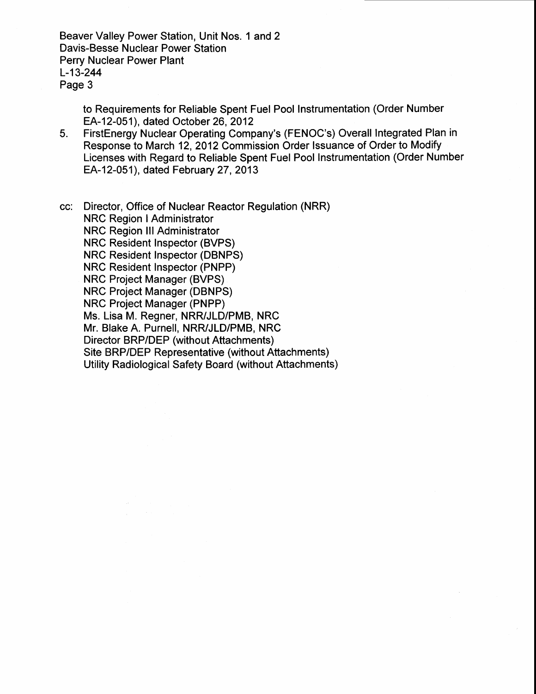Beaver Valley Power Station, Unit Nos. 1 and 2 Davis-Besse Nuclear Power Station Perry Nuclear Power Plant L-13-244 Page 3

> to Requirements for Reliable Spent Fuel Pool Instrumentation (Order Number EA-12-051), dated October 26,2012

5. FirstEnergy Nuclear Operating Company's (FENOC's) Overall Integrated Plan in Response to March 12,2012 Commission Order lssuance of Order to Modify Licenses with Regard to Reliable Spent Fuel Pool Instrumentation (Order Number EA-12-051), dated February 27, 2013

cc: Director, Office of Nuclear Reactor Regulation (NRR) **NRC Region I Administrator** NRC Region lll Administrator NRC Resident Inspector (BVPS) NRC Resident Inspector (DBNPS) NRC Resident Inspector (PNPP) NRC Project Manager (BVPS) NRC Project Manager (DBNPS) NRC Project Manager (PNPP) Ms. Lisa M. Regner, NRR/JLD/PMB, NRC Mr. Blake A. Purnell, NRR/JLD/PMB, NRC Director BRP/DEP (without Attachments) Site BRP/DEP Representative (without Attachments) Utility Radiological Safety Board (without Attachments)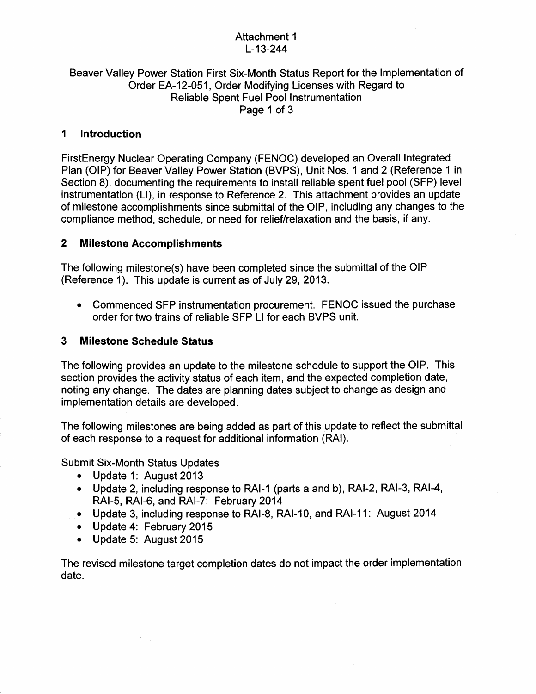## Attachment 1 L-13-244

#### Beaver Valley Power Station First Six-Month Status Report for the lmplementation of Order EA-12-051, Order Modifying Licenses with Regard to Reliable Spent Fuel Pool Instrumentation Page 1 of 3

#### Introduction  $\blacktriangleleft$

FirstEnergy Nuclear Operating Company (FENOC) developed an Overall Integrated Plan (OIP) for Beaver Valley Power Station (BVPS), Unit Nos. 1 and 2 (Reference 1 in Section 8), documenting the requirements to install reliable spent fuel pool (SFP) level instrumentation (LI), in response to Reference 2. This attachment provides an update of milestone accomplishments since submittal of the OlP, including any changes to the compliance method, schedule, or need for relief/relaxation and the basis, if any.

#### 2 Milestone Accomplishments

The following milestone(s) have been completed since the submittal of the OIP (Reference 1). This update is current as of July 29,2013.

. Commenced SFP instrumentation procurement. FENOC issued the purchase order for two trains of reliable SFP Ll for each BVPS unit.

#### 3 Milestone Schedule Status

The following provides an update to the milestone schedule to support the OlP. This section provides the activity status of each item, and the expected completion date, noting any change. The dates are planning dates subject to change as design and implementation details are developed.

The following milestones are being added as part of this update to reflect the submittal of each response to a request for additional information (RAl).

Submit Six-Month Status Updates

- Update 1: August 2013
- Update 2, including response to RAI-1 (parts a and b), RAI-2, RAI-3, RAI-4, RAI-S, RAI-6, and RAI-7: February 2014
- . Update 3, including response to RAI-8, RAI-10, and RAI-1 1 : August-2014
- . Update 4: February 2015
- Update 5: August 2015

The revised milestone target completion dates do not impact the order implementation date.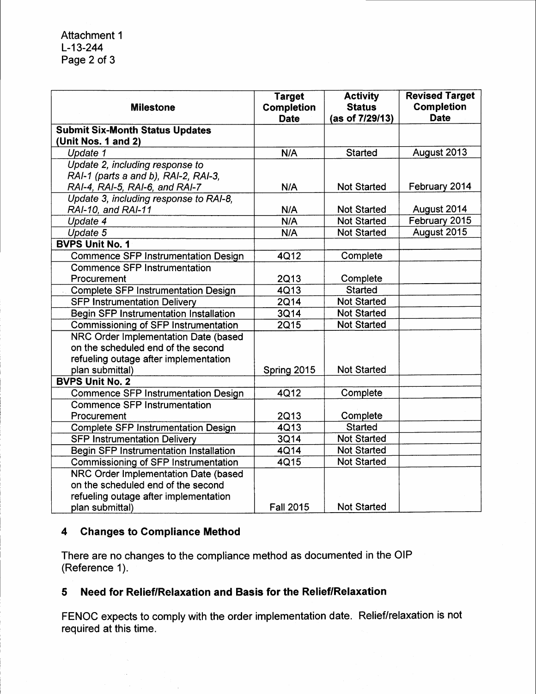| <b>Milestone</b>                              | <b>Target</b><br><b>Completion</b><br><b>Date</b> | <b>Activity</b><br><b>Status</b><br>(as of 7/29/13) | <b>Revised Target</b><br><b>Completion</b><br><b>Date</b> |
|-----------------------------------------------|---------------------------------------------------|-----------------------------------------------------|-----------------------------------------------------------|
| <b>Submit Six-Month Status Updates</b>        |                                                   |                                                     |                                                           |
| (Unit Nos. 1 and 2)                           |                                                   |                                                     |                                                           |
| Update 1                                      | N/A                                               | <b>Started</b>                                      | August 2013                                               |
| Update 2, including response to               |                                                   |                                                     |                                                           |
| RAI-1 (parts a and b), RAI-2, RAI-3,          |                                                   |                                                     |                                                           |
| RAI-4, RAI-5, RAI-6, and RAI-7                | N/A                                               | <b>Not Started</b>                                  | February 2014                                             |
| Update 3, including response to RAI-8,        |                                                   |                                                     |                                                           |
| RAI-10, and RAI-11                            | N/A                                               | <b>Not Started</b>                                  | August 2014                                               |
| Update 4                                      | N/A                                               | <b>Not Started</b>                                  | February 2015                                             |
| Update 5                                      | N/A                                               | <b>Not Started</b>                                  | August 2015                                               |
| <b>BVPS Unit No. 1</b>                        |                                                   |                                                     |                                                           |
| <b>Commence SFP Instrumentation Design</b>    | 4Q12                                              | Complete                                            |                                                           |
| <b>Commence SFP Instrumentation</b>           |                                                   |                                                     |                                                           |
| Procurement                                   | 2Q13                                              | Complete                                            |                                                           |
| <b>Complete SFP Instrumentation Design</b>    | 4Q13                                              | <b>Started</b>                                      |                                                           |
| <b>SFP Instrumentation Delivery</b>           | <b>2Q14</b>                                       | <b>Not Started</b>                                  |                                                           |
| Begin SFP Instrumentation Installation        | 3Q14                                              | <b>Not Started</b>                                  |                                                           |
| <b>Commissioning of SFP Instrumentation</b>   | 2Q15                                              | <b>Not Started</b>                                  |                                                           |
| NRC Order Implementation Date (based          |                                                   |                                                     |                                                           |
| on the scheduled end of the second            |                                                   |                                                     |                                                           |
| refueling outage after implementation         |                                                   |                                                     |                                                           |
| plan submittal)                               | Spring 2015                                       | <b>Not Started</b>                                  |                                                           |
| <b>BVPS Unit No. 2</b>                        |                                                   |                                                     |                                                           |
| <b>Commence SFP Instrumentation Design</b>    | 4Q12                                              | Complete                                            |                                                           |
| <b>Commence SFP Instrumentation</b>           |                                                   |                                                     |                                                           |
| Procurement                                   | 2Q13                                              | Complete                                            |                                                           |
| <b>Complete SFP Instrumentation Design</b>    | 4Q13                                              | <b>Started</b>                                      |                                                           |
| <b>SFP Instrumentation Delivery</b>           | 3Q14                                              | <b>Not Started</b>                                  |                                                           |
| <b>Begin SFP Instrumentation Installation</b> | 4Q14                                              | <b>Not Started</b>                                  |                                                           |
| Commissioning of SFP Instrumentation          | 4Q15                                              | <b>Not Started</b>                                  |                                                           |
| NRC Order Implementation Date (based          |                                                   |                                                     |                                                           |
| on the scheduled end of the second            |                                                   |                                                     |                                                           |
| refueling outage after implementation         |                                                   |                                                     |                                                           |
| plan submittal)                               | <b>Fall 2015</b>                                  | <b>Not Started</b>                                  |                                                           |

## 4 Ghanges to Compliance Method

 $\sim$ 

There are no changes to the compliance method as documented in the OIP (Reference 1).

### 5 Need for Relief/Relaxation and Basis for the Relief/Relaxation

FENOC expects to comply with the order implementation date. Relief/relaxation is not required at this time.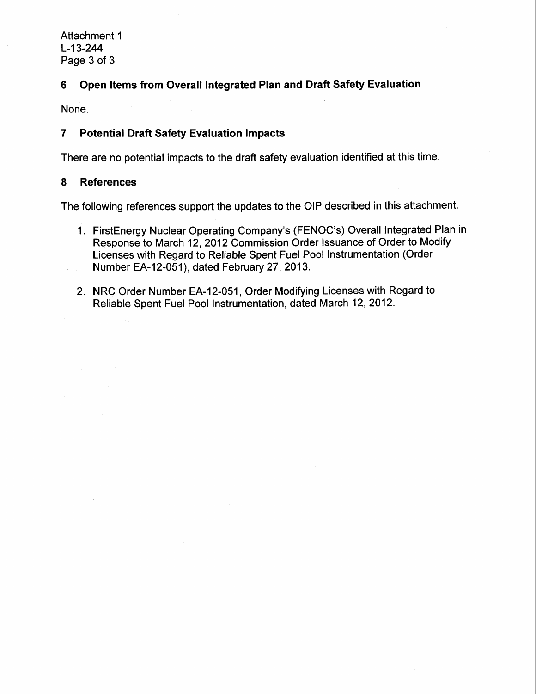## 6 Open ltems from Overall Integrated Plan and Draft Safety Evaluation

None.

#### 7 Potential Draft Safety Evaluation lmpacts

There are no potential impacts to the draft safety evaluation identified at this time.

#### 8 References

The following references support the updates to the OIP described in this attachment.

- 1. FirstEnergy Nuclear Operating Company's (FENOC's) Overall Integrated Plan in Response to March 12, 2012 Commission Order Issuance of Order to Modify Licenses with Regard to Reliable Spent Fuel Pool Instrumentation (Order Number EA-12-051), dated February 27 , 2013.
- 2. NRC Order Number EA-12-051, Order Modifying Licenses with Regard to Reliable Spent Fuel Pool lnstrumentation, dated March 12,2012.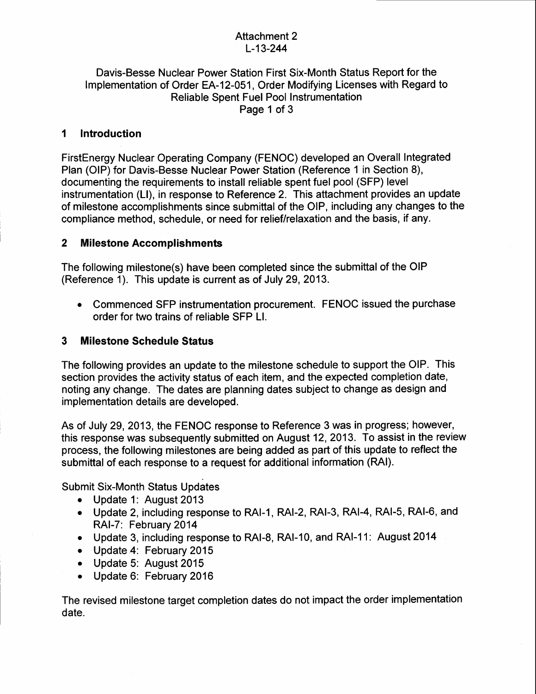## Attachment 2 L-13-244

#### Davis-Besse Nuclear Power Station First Six-Month Status Report for the Implementation of Order EA-12-051, Order Modifying Licenses with Regard to Reliable Spent Fuel Pool Instrumentation Page 1 of 3

#### lntroduction 1

FirstEnergy Nuclear Operating Company (FENOC) developed an Overall Integrated Plan (OlP) for Davis-Besse Nuclear Power Station (Reference 1in Section 8), documenting the requirements to install reliable spent fuel pool (SFP) level instrumentation (LI), in response to Reference 2. This attachment provides an update of milestone accomplishments since submittal of the OlP, including any changes to the compliance method, schedule, or need for relief/relaxation and the basis, if any.

## 2 Milestone Accomplishments

The following milestone(s) have been completed since the submittal of the OIP (Reference 1). This update is current as of July 29,2013.

• Commenced SFP instrumentation procurement. FENOC issued the purchase order for two trains of reliable SFP Ll.

#### 3 Milestone Schedule Status

The following provides an update to the milestone schedule to support the OlP. This section provides the activity status of each item, and the expected completion date, noting any change. The dates are planning dates subject to change as design and implementation details are developed.

As of July 29, 2013, the FENOC response to Reference 3 was in progress; however, this response was subsequently submitted on August 12,2013. To assist in the review process, the following milestones are being added as part of this update to reflect the submittal of each response to a request for additional information (RAl).

Submit Six-Month Status Updates

- Update 1: August 2013
- Update 2, including response to RAI-1, RAI-2, RAI-3, RAI-4, RAI-5, RAI-6, and RAI-7: February 2014
- . Update 3, including response to RAI-8, RAI-10, and RAI-1 1 : August 2014
- o Update 4: February 2015
- Update 5: August 2015
- Update 6: February 2016

The revised milestone target completion dates do not impact the order implementation date.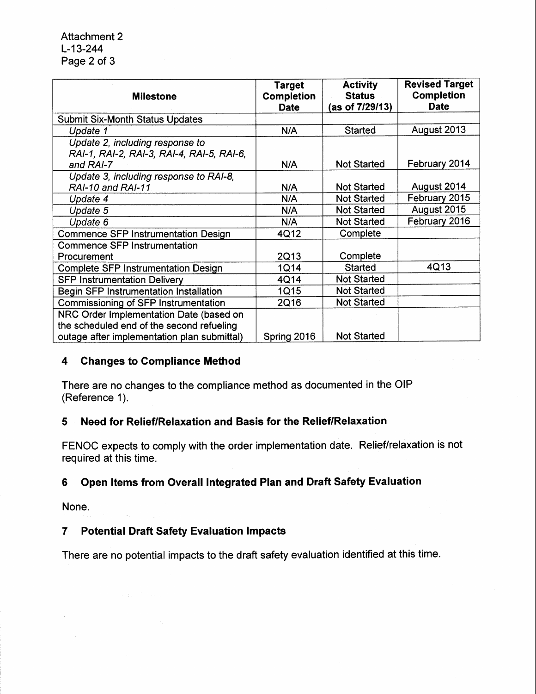| <b>Milestone</b>                                                                          | <b>Target</b><br><b>Completion</b><br><b>Date</b> | <b>Activity</b><br><b>Status</b><br>(as of 7/29/13) | <b>Revised Target</b><br><b>Completion</b><br><b>Date</b> |
|-------------------------------------------------------------------------------------------|---------------------------------------------------|-----------------------------------------------------|-----------------------------------------------------------|
| <b>Submit Six-Month Status Updates</b>                                                    |                                                   |                                                     |                                                           |
| Update 1                                                                                  | N/A                                               | Started                                             | August 2013                                               |
| Update 2, including response to<br>RAI-1, RAI-2, RAI-3, RAI-4, RAI-5, RAI-6,<br>and RAI-7 | N/A                                               | <b>Not Started</b>                                  | February 2014                                             |
| Update 3, including response to RAI-8,<br>RAI-10 and RAI-11                               | N/A                                               | <b>Not Started</b>                                  | August 2014                                               |
| Update 4                                                                                  | N/A                                               | <b>Not Started</b>                                  | February 2015                                             |
| Update 5                                                                                  | N/A                                               | <b>Not Started</b>                                  | August 2015                                               |
| Update 6                                                                                  | N/A                                               | <b>Not Started</b>                                  | February 2016                                             |
| <b>Commence SFP Instrumentation Design</b>                                                | 4Q12                                              | Complete                                            |                                                           |
| <b>Commence SFP Instrumentation</b>                                                       |                                                   |                                                     |                                                           |
| Procurement                                                                               | 2Q13                                              | Complete                                            |                                                           |
| <b>Complete SFP Instrumentation Design</b>                                                | 1Q14                                              | Started                                             | 4Q13                                                      |
| <b>SFP Instrumentation Delivery</b>                                                       | 4Q14                                              | <b>Not Started</b>                                  |                                                           |
| <b>Begin SFP Instrumentation Installation</b>                                             | <b>1Q15</b>                                       | <b>Not Started</b>                                  |                                                           |
| Commissioning of SFP Instrumentation                                                      | 2Q16                                              | <b>Not Started</b>                                  |                                                           |
| NRC Order Implementation Date (based on<br>the scheduled end of the second refueling      |                                                   |                                                     |                                                           |
| outage after implementation plan submittal)                                               | Spring 2016                                       | <b>Not Started</b>                                  |                                                           |

### 4 Changes to Gompliance Method

There are no changes to the compliance method as documented in the OIP (Reference 1).

## 5 Need for RelieflRelaxation and Basis for the Relief/Relaxation

FENOC expects to comply with the order implementation date. Relief/relaxation is not required at this time.

## 6 Open ltems from Overall Integrated Plan and Draft Safety Evaluation

None.

## 7 Potential Draft Safety Evaluation lmpacts

There are no potential impacts to the draft safety evaluation identified at this time.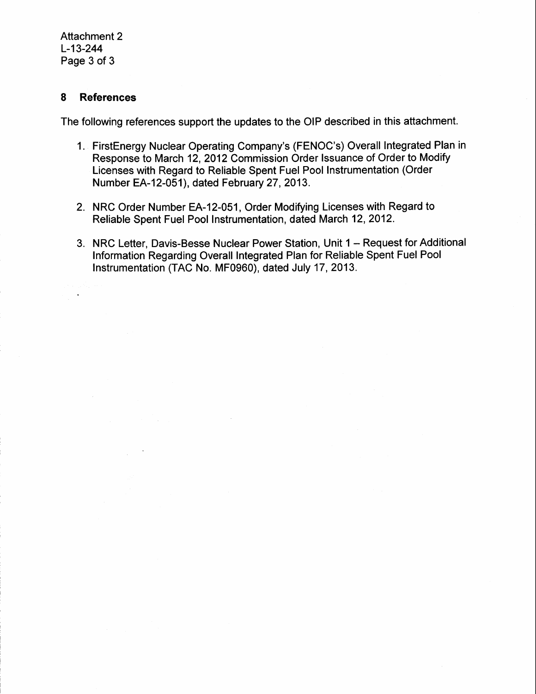#### 8 References

The following references support the updates to the OIP described in this attachment.

- 1. FirstEnergy Nuclear Operating Company's (FENOC's) Overall Integrated Plan in Response to March 12, 2012 Commission Order Issuance of Order to Modify Licenses with Regard to Reliable Spent Fuel Pool Instrumentation (Order Number EA-12-051), dated February 27, 2013.
- 2. NRC Order Number EA-12-051, Order Modifying Licenses with Regard to Reliable Spent Fuel Pool Instrumentation, dated March 12, 2012.
- 3. NRC Letter, Davis-Besse Nuclear Power Station, Unit 1 Request for Additional Information Regarding Overall Integrated Plan for Reliable Spent Fuel Pool Instrumentation (TAC No. MF0960), dated July 17, 2013.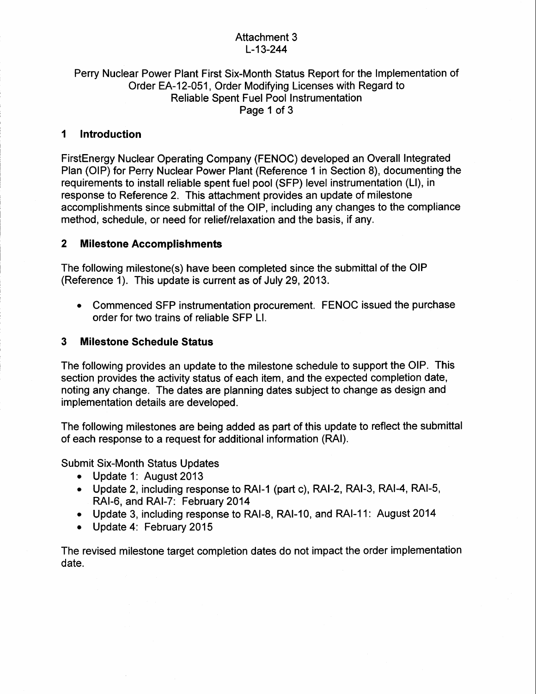### Attachment 3 L-13-244

#### Perry Nuclear Power Plant First Six-Month Status Report for the lmplementation of Order EA-12-051, Order Modifying Licenses with Regard to Reliable Spent Fuel Pool Instrumentation Page 1 of 3

#### 1 Introduction

FirstEnergy Nuclear Operating Company (FENOC) developed an Overall Integrated Plan (OlP) for Perry Nuclear Power Plant (Reference 1in Section 8), documenting the requirements to install reliable spent fuel pool (SFP) level instrumentation (Ll), in response to Reference 2. This attachment provides an update of milestone accomplishments since submittal of the OlP, including any changes to the compliance method, schedule, or need for relief/relaxation and the basis, if any.

#### 2 Milestone Accomplishments

The following milestone(s) have been completed since the submittal of the OIP (Reference 1). This update is current as of July 29,2013.

• Commenced SFP instrumentation procurement. FENOC issued the purchase order for two trains of reliable SFP Ll.

#### 3 Milestone Schedule Status

The following provides an update to the milestone schedule to support the OlP. This section provides the activity status of each item, and the expected completion date, noting any change. The dates are planning dates subject to change as design and implementation details are developed.

The following milestones are being added as part of this update to reflect he submittal of each response to a request for additional information (RAI).

Submit Six-Month Status Updates

- Update 1: August 2013
- Update 2, including response to RAI-1 (part c), RAI-2, RAI-3, RAI-4, RAI-5, RAI-6, and RAI-7: February 2014
- Update 3, including response to RAI-8, RAI-10, and RAI-11: August 2014
- . Update 4: February 2015

The revised milestone target completion dates do not impact the order implementation date.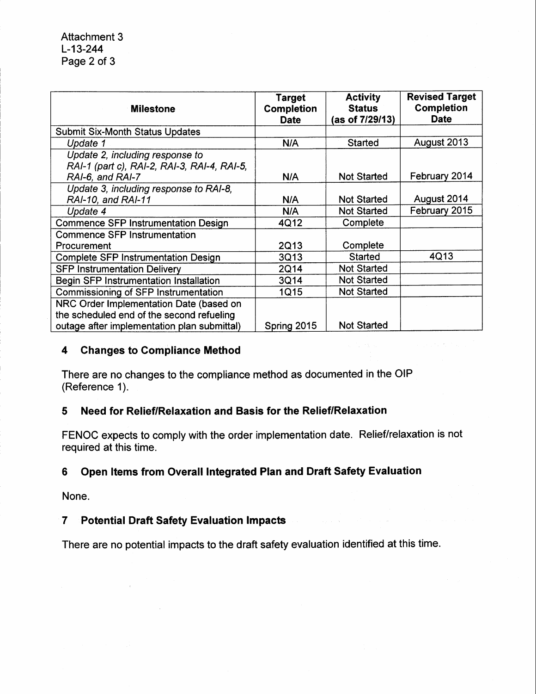| <b>Milestone</b>                                                                                   | <b>Target</b><br><b>Completion</b><br><b>Date</b> | <b>Activity</b><br><b>Status</b><br>(as of 7/29/13) | <b>Revised Target</b><br><b>Completion</b><br><b>Date</b> |
|----------------------------------------------------------------------------------------------------|---------------------------------------------------|-----------------------------------------------------|-----------------------------------------------------------|
| <b>Submit Six-Month Status Updates</b>                                                             |                                                   |                                                     |                                                           |
| Update 1                                                                                           | N/A                                               | Started                                             | August 2013                                               |
| Update 2, including response to<br>RAI-1 (part c), RAI-2, RAI-3, RAI-4, RAI-5,<br>RAI-6, and RAI-7 | N/A                                               | <b>Not Started</b>                                  | February 2014                                             |
| Update 3, including response to RAI-8,<br>RAI-10, and RAI-11                                       | N/A                                               | <b>Not Started</b>                                  | August 2014                                               |
| Update 4                                                                                           | N/A                                               | <b>Not Started</b>                                  | February 2015                                             |
| <b>Commence SFP Instrumentation Design</b>                                                         | 4Q12                                              | Complete                                            |                                                           |
| <b>Commence SFP Instrumentation</b>                                                                |                                                   |                                                     |                                                           |
| Procurement                                                                                        | 2Q13                                              | Complete                                            |                                                           |
| <b>Complete SFP Instrumentation Design</b>                                                         | 3Q13                                              | Started                                             | 4Q13                                                      |
| <b>SFP Instrumentation Delivery</b>                                                                | 2Q14                                              | <b>Not Started</b>                                  |                                                           |
| Begin SFP Instrumentation Installation                                                             | 3Q14                                              | <b>Not Started</b>                                  |                                                           |
| Commissioning of SFP Instrumentation                                                               | 1Q15                                              | <b>Not Started</b>                                  |                                                           |
| NRC Order Implementation Date (based on<br>the scheduled end of the second refueling               |                                                   |                                                     |                                                           |
| outage after implementation plan submittal)                                                        | Spring 2015                                       | <b>Not Started</b>                                  |                                                           |

#### 4 Changes to Gompliance Method

There are no changes to the compliance method as documented in the OIP (Reference 1).

## 5 Need for Relief/Relaxation and Basis for the Relief/Relaxation

FENOC expects to comply with the order implementation date. Relief/relaxation is not required at this time.

## 6 Open ltems from Overall lntegrated Plan and Draft Safety Evaluation

None.

# 7 Potential Draft Safety Evaluation lmpacts

There are no potential impacts to the draft safety evaluation identified at this time.